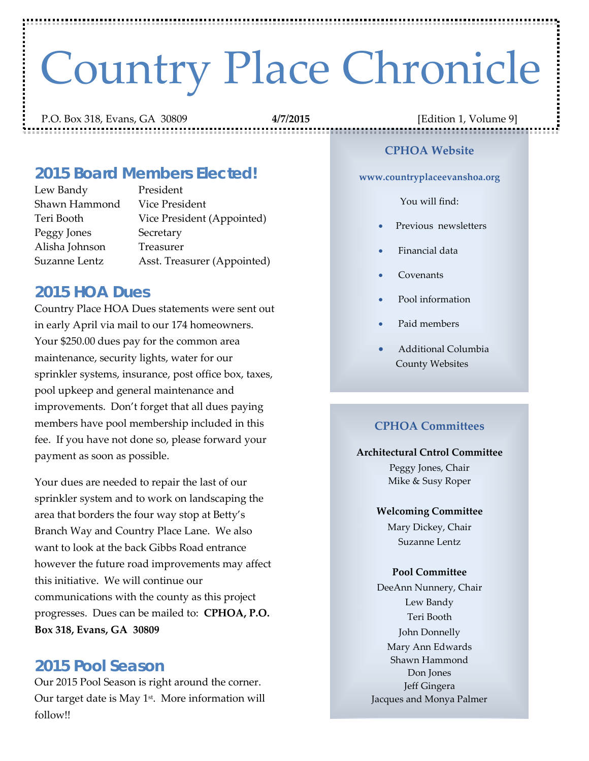# Country Place Chronicle

P.O. Box 318, Evans, GA 30809 **4/7/2015** [Edition 1, Volume 9]

# *2015 Board Members Elected!*

Lew Bandy President Shawn Hammond Vice President Teri Booth Vice President (Appointed) Peggy Jones Secretary Alisha Johnson Treasurer Suzanne Lentz Asst. Treasurer (Appointed)

## *2015 HOA Dues*

Country Place HOA Dues statements were sent out in early April via mail to our 174 homeowners. Your \$250.00 dues pay for the common area maintenance, security lights, water for our sprinkler systems, insurance, post office box, taxes, pool upkeep and general maintenance and improvements. Don't forget that all dues paying members have pool membership included in this fee. If you have not done so, please forward your payment as soon as possible.

Your dues are needed to repair the last of our sprinkler system and to work on landscaping the area that borders the four way stop at Betty's Branch Way and Country Place Lane. We also want to look at the back Gibbs Road entrance however the future road improvements may affect this initiative. We will continue our communications with the county as this project progresses. Dues can be mailed to: **CPHOA, P.O. Box 318, Evans, GA 30809**

## *2015 Pool Season*

Our 2015 Pool Season is right around the corner. Our target date is May  $1<sup>st</sup>$ . More information will follow!!

#### **CPHOA Website**

,,,,,,,,,,,,,,,,,,,,,

**www.countryplaceevanshoa.org**

#### You will find:

- Previous newsletters
- Financial data
- Covenants
- Pool information
- Paid members
- Additional Columbia County Websites

#### **CPHOA Committees**

#### **Architectural Cntrol Committee**

Peggy Jones, Chair Mike & Susy Roper

#### **Welcoming Committee**

Mary Dickey, Chair Suzanne Lentz

#### **Pool Committee**

DeeAnn Nunnery, Chair Lew Bandy Teri Booth John Donnelly Mary Ann Edwards Shawn Hammond Don Jones Jeff Gingera Jacques and Monya Palmer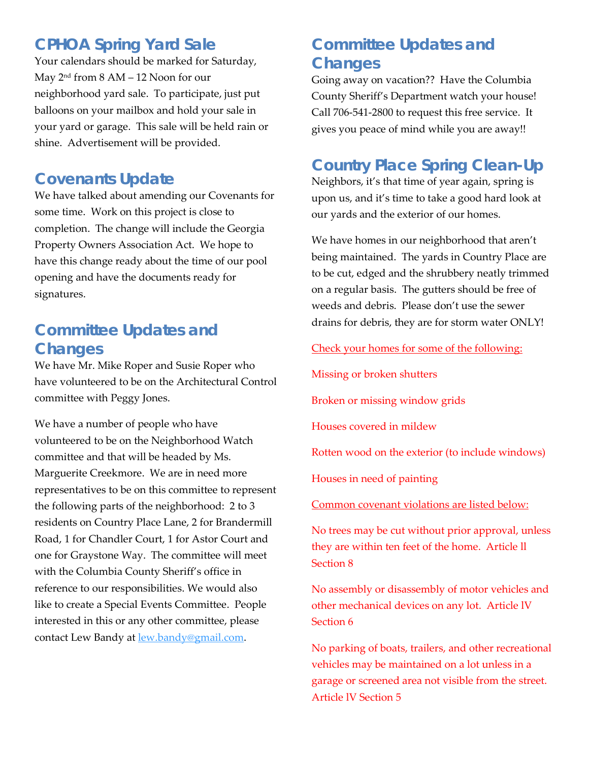# *CPHOA Spring Yard Sale*

Your calendars should be marked for Saturday, May 2nd from 8 AM – 12 Noon for our neighborhood yard sale. To participate, just put balloons on your mailbox and hold your sale in your yard or garage. This sale will be held rain or shine. Advertisement will be provided.

# *Covenants Update*

We have talked about amending our Covenants for some time. Work on this project is close to completion. The change will include the Georgia Property Owners Association Act. We hope to have this change ready about the time of our pool opening and have the documents ready for signatures.

# *Committee Updates and Changes*

We have Mr. Mike Roper and Susie Roper who have volunteered to be on the Architectural Control committee with Peggy Jones.

We have a number of people who have volunteered to be on the Neighborhood Watch committee and that will be headed by Ms. Marguerite Creekmore. We are in need more representatives to be on this committee to represent the following parts of the neighborhood: 2 to 3 residents on Country Place Lane, 2 for Brandermill Road, 1 for Chandler Court, 1 for Astor Court and one for Graystone Way. The committee will meet with the Columbia County Sheriff's office in reference to our responsibilities. We would also like to create a Special Events Committee. People interested in this or any other committee, please contact Lew Bandy at [lew.bandy@gmail.com.](mailto:lew.bandy@gmail.com)

# *Committee Updates and Changes*

Going away on vacation?? Have the Columbia County Sheriff's Department watch your house! Call 706-541-2800 to request this free service. It gives you peace of mind while you are away!!

## *Country Place Spring Clean-Up*

Neighbors, it's that time of year again, spring is upon us, and it's time to take a good hard look at our yards and the exterior of our homes.

We have homes in our neighborhood that aren't being maintained. The yards in Country Place are to be cut, edged and the shrubbery neatly trimmed on a regular basis. The gutters should be free of weeds and debris. Please don't use the sewer drains for debris, they are for storm water ONLY!

Check your homes for some of the following:

Missing or broken shutters

Broken or missing window grids

Houses covered in mildew

Rotten wood on the exterior (to include windows)

Houses in need of painting

Common covenant violations are listed below:

No trees may be cut without prior approval, unless they are within ten feet of the home. Article ll Section 8

No assembly or disassembly of motor vehicles and other mechanical devices on any lot. Article lV Section 6

No parking of boats, trailers, and other recreational vehicles may be maintained on a lot unless in a garage or screened area not visible from the street. Article lV Section 5